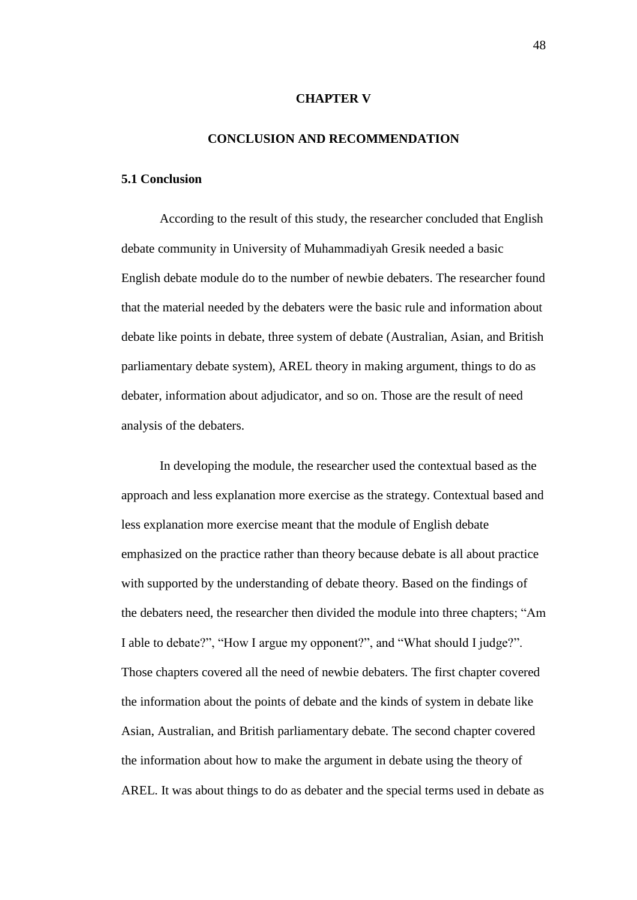## **CHAPTER V**

## **CONCLUSION AND RECOMMENDATION**

## **5.1 Conclusion**

According to the result of this study, the researcher concluded that English debate community in University of Muhammadiyah Gresik needed a basic English debate module do to the number of newbie debaters. The researcher found that the material needed by the debaters were the basic rule and information about debate like points in debate, three system of debate (Australian, Asian, and British parliamentary debate system), AREL theory in making argument, things to do as debater, information about adjudicator, and so on. Those are the result of need analysis of the debaters.

In developing the module, the researcher used the contextual based as the approach and less explanation more exercise as the strategy. Contextual based and less explanation more exercise meant that the module of English debate emphasized on the practice rather than theory because debate is all about practice with supported by the understanding of debate theory. Based on the findings of the debaters need, the researcher then divided the module into three chapters; "Am I able to debate?", "How I argue my opponent?", and "What should I judge?". Those chapters covered all the need of newbie debaters. The first chapter covered the information about the points of debate and the kinds of system in debate like Asian, Australian, and British parliamentary debate. The second chapter covered the information about how to make the argument in debate using the theory of AREL. It was about things to do as debater and the special terms used in debate as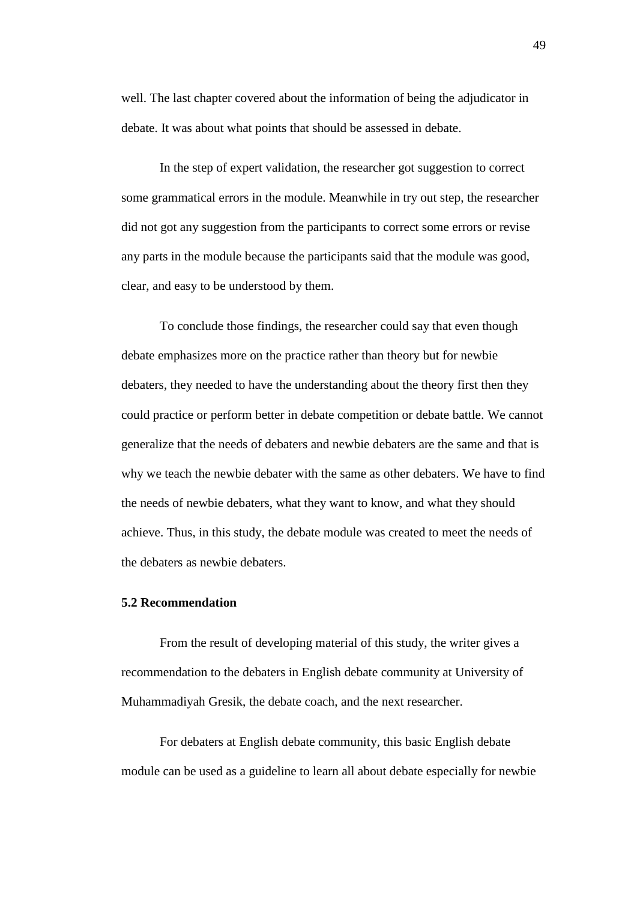well. The last chapter covered about the information of being the adjudicator in debate. It was about what points that should be assessed in debate.

In the step of expert validation, the researcher got suggestion to correct some grammatical errors in the module. Meanwhile in try out step, the researcher did not got any suggestion from the participants to correct some errors or revise any parts in the module because the participants said that the module was good, clear, and easy to be understood by them.

To conclude those findings, the researcher could say that even though debate emphasizes more on the practice rather than theory but for newbie debaters, they needed to have the understanding about the theory first then they could practice or perform better in debate competition or debate battle. We cannot generalize that the needs of debaters and newbie debaters are the same and that is why we teach the newbie debater with the same as other debaters. We have to find the needs of newbie debaters, what they want to know, and what they should achieve. Thus, in this study, the debate module was created to meet the needs of the debaters as newbie debaters.

## **5.2 Recommendation**

From the result of developing material of this study, the writer gives a recommendation to the debaters in English debate community at University of Muhammadiyah Gresik, the debate coach, and the next researcher.

For debaters at English debate community, this basic English debate module can be used as a guideline to learn all about debate especially for newbie

49